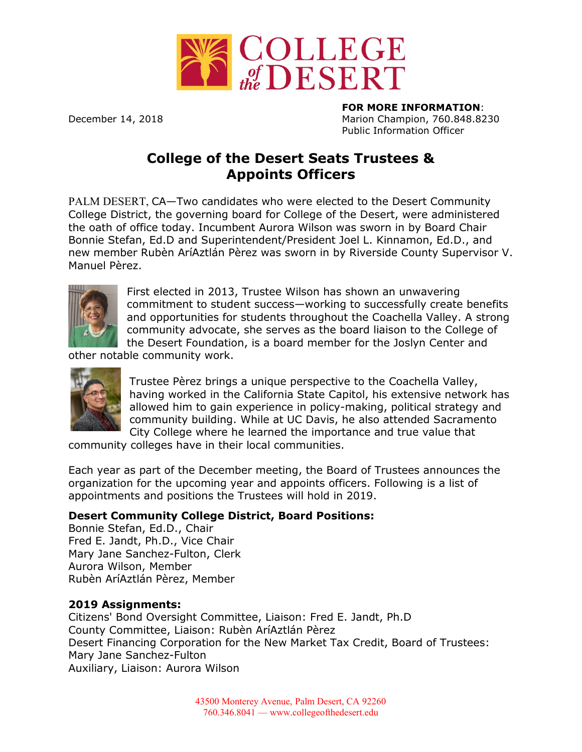

**FOR MORE INFORMATION**: December 14, 2018 Marion Champion, 760.848.8230 Public Information Officer

## **College of the Desert Seats Trustees & Appoints Officers**

PALM DESERT, CA—Two candidates who were elected to the Desert Community College District, the governing board for College of the Desert, were administered the oath of office today. Incumbent Aurora Wilson was sworn in by Board Chair Bonnie Stefan, Ed.D and Superintendent/President Joel L. Kinnamon, Ed.D., and new member Rubèn AríAztlán Pèrez was sworn in by Riverside County Supervisor V. Manuel Pèrez.



First elected in 2013, Trustee Wilson has shown an unwavering commitment to student success—working to successfully create benefits and opportunities for students throughout the Coachella Valley. A strong community advocate, she serves as the board liaison to the College of the Desert Foundation, is a board member for the Joslyn Center and

other notable community work.



Trustee Pèrez brings a unique perspective to the Coachella Valley, having worked in the California State Capitol, his extensive network has allowed him to gain experience in policy-making, political strategy and community building. While at UC Davis, he also attended Sacramento City College where he learned the importance and true value that

community colleges have in their local communities.

Each year as part of the December meeting, the Board of Trustees announces the organization for the upcoming year and appoints officers. Following is a list of appointments and positions the Trustees will hold in 2019.

## **Desert Community College District, Board Positions:**

Bonnie Stefan, Ed.D., Chair Fred E. Jandt, Ph.D., Vice Chair Mary Jane Sanchez-Fulton, Clerk Aurora Wilson, Member Rubèn AríAztlán Pèrez, Member

## **2019 Assignments:**

Citizens' Bond Oversight Committee, Liaison: Fred E. Jandt, Ph.D County Committee, Liaison: Rubèn AríAztlán Pèrez Desert Financing Corporation for the New Market Tax Credit, Board of Trustees: Mary Jane Sanchez-Fulton Auxiliary, Liaison: Aurora Wilson